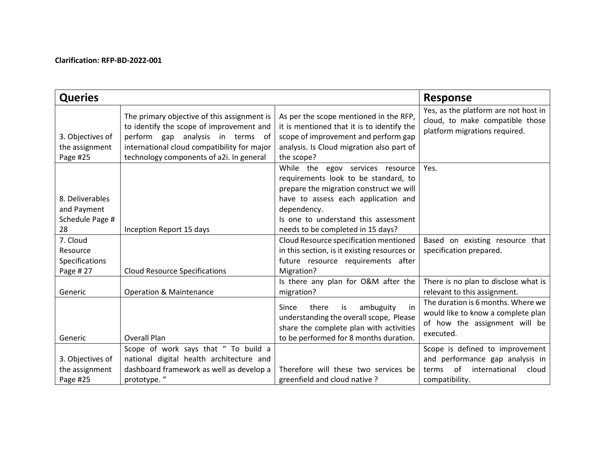## **Clarification: RFP-BD-2022-001**

| <b>Queries</b>                                          |                                                                                                                                                                                                                           |                                                                                                                                                                                                                                                        | <b>Response</b>                                                                                                               |
|---------------------------------------------------------|---------------------------------------------------------------------------------------------------------------------------------------------------------------------------------------------------------------------------|--------------------------------------------------------------------------------------------------------------------------------------------------------------------------------------------------------------------------------------------------------|-------------------------------------------------------------------------------------------------------------------------------|
| 3. Objectives of<br>the assignment<br>Page #25          | The primary objective of this assignment is<br>to identify the scope of improvement and<br>perform gap analysis in terms<br>of<br>international cloud compatibility for major<br>technology components of a2i. In general | As per the scope mentioned in the RFP,<br>it is mentioned that it is to identify the<br>scope of improvement and perform gap<br>analysis. Is Cloud migration also part of<br>the scope?                                                                | Yes, as the platform are not host in<br>cloud, to make compatible those<br>platform migrations required.                      |
| 8. Deliverables<br>and Payment<br>Schedule Page #<br>28 | Inception Report 15 days                                                                                                                                                                                                  | While the egov services resource<br>requirements look to be standard, to<br>prepare the migration construct we will<br>have to assess each application and<br>dependency.<br>Is one to understand this assessment<br>needs to be completed in 15 days? | Yes.                                                                                                                          |
| 7. Cloud<br>Resource<br>Specifications<br>Page # 27     | <b>Cloud Resource Specifications</b>                                                                                                                                                                                      | Cloud Resource specification mentioned<br>in this section, is it existing resources or<br>future resource requirements after<br>Migration?                                                                                                             | Based on existing resource that<br>specification prepared.                                                                    |
| Generic                                                 | <b>Operation &amp; Maintenance</b>                                                                                                                                                                                        | Is there any plan for O&M after the<br>migration?                                                                                                                                                                                                      | There is no plan to disclose what is<br>relevant to this assignment.                                                          |
| Generic                                                 | <b>Overall Plan</b>                                                                                                                                                                                                       | ambuguity<br>Since<br>there<br>is<br>in<br>understanding the overall scope, Please<br>share the complete plan with activities<br>to be performed for 8 months duration.                                                                                | The duration is 6 months. Where we<br>would like to know a complete plan<br>of how the assignment will be<br>executed.        |
| 3. Objectives of<br>the assignment<br>Page #25          | Scope of work says that " To build a<br>national digital health architecture and<br>dashboard framework as well as develop a<br>prototype."                                                                               | Therefore will these two services be<br>greenfield and cloud native?                                                                                                                                                                                   | Scope is defined to improvement<br>and performance gap analysis in<br>of<br>international<br>cloud<br>terms<br>compatibility. |